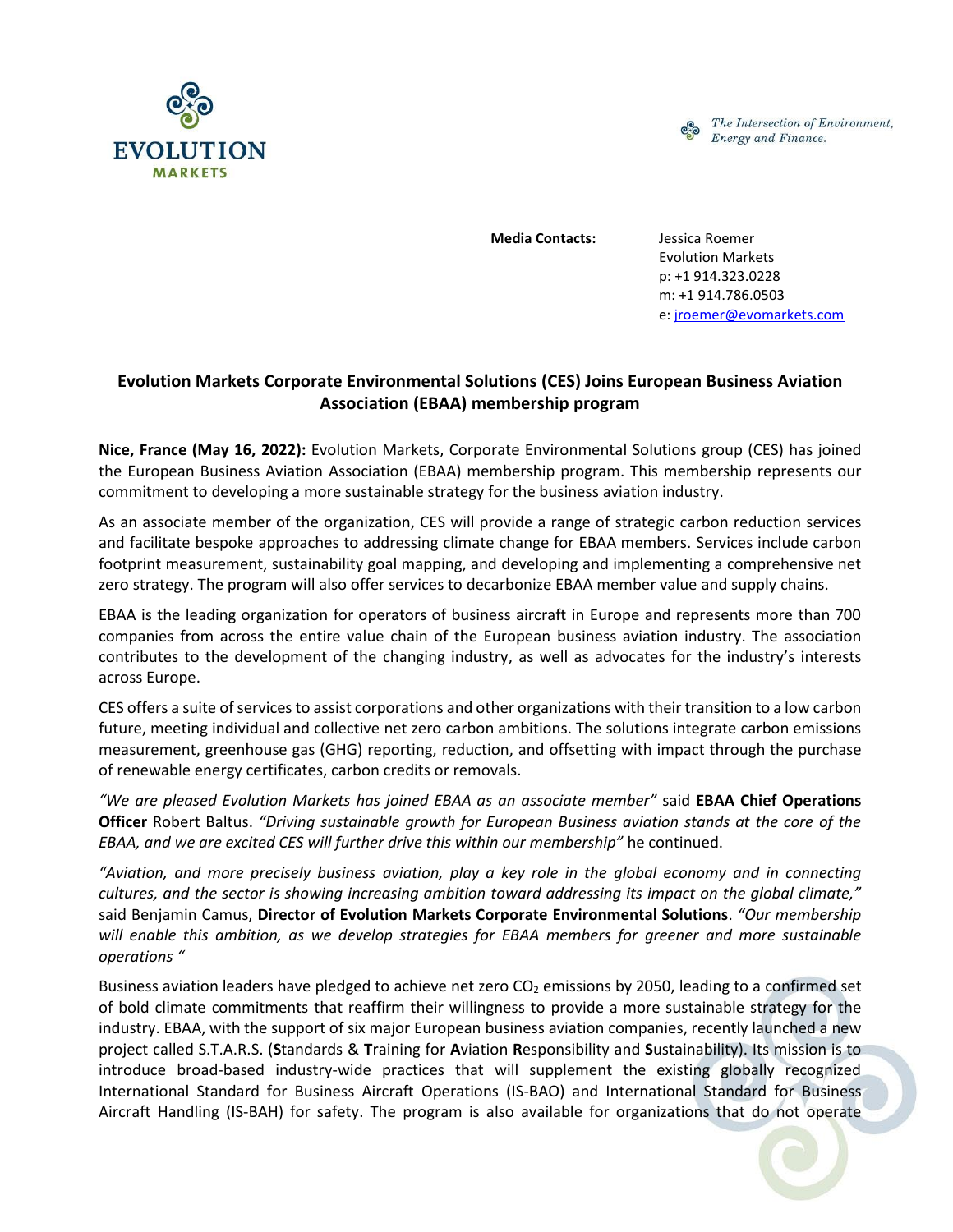



The Intersection of Environment, Energy and Finance.

**Media Contacts:** Jessica Roemer Evolution Markets p: +1 914.323.0228 m: +1 914.786.0503 e: [jroemer@evomarkets.com](mailto:jroemer@evomarkets.com)

## **Evolution Markets Corporate Environmental Solutions (CES) Joins European Business Aviation Association (EBAA) membership program**

**Nice, France (May 16, 2022):** Evolution Markets, Corporate Environmental Solutions group (CES) has joined the European Business Aviation Association (EBAA) membership program. This membership represents our commitment to developing a more sustainable strategy for the business aviation industry.

As an associate member of the organization, CES will provide a range of strategic carbon reduction services and facilitate bespoke approaches to addressing climate change for EBAA members. Services include carbon footprint measurement, sustainability goal mapping, and developing and implementing a comprehensive net zero strategy. The program will also offer services to decarbonize EBAA member value and supply chains.

EBAA is the leading organization for operators of business aircraft in Europe and represents more than 700 companies from across the entire value chain of the European business aviation industry. The association contributes to the development of the changing industry, as well as advocates for the industry's interests across Europe.

CES offers a suite of services to assist corporations and other organizations with their transition to a low carbon future, meeting individual and collective net zero carbon ambitions. The solutions integrate carbon emissions measurement, greenhouse gas (GHG) reporting, reduction, and offsetting with impact through the purchase of renewable energy certificates, carbon credits or removals.

*"We are pleased Evolution Markets has joined EBAA as an associate member"* said **EBAA Chief Operations Officer** Robert Baltus. *"Driving sustainable growth for European Business aviation stands at the core of the EBAA, and we are excited CES will further drive this within our membership"* he continued.

*"Aviation, and more precisely business aviation, play a key role in the global economy and in connecting cultures, and the sector is showing increasing ambition toward addressing its impact on the global climate,"*  said Benjamin Camus, **Director of Evolution Markets Corporate Environmental Solutions**. *"Our membership will enable this ambition, as we develop strategies for EBAA members for greener and more sustainable operations "*

Business aviation leaders have pledged to achieve net zero CO<sub>2</sub> emissions by 2050, leading to a confirmed set of bold climate commitments that reaffirm their willingness to provide a more sustainable strategy for the industry. EBAA, with the support of six major European business aviation companies, recently launched a new project called S.T.A.R.S. (**S**tandards & **T**raining for **A**viation **R**esponsibility and **S**ustainability). Its mission is to introduce broad-based industry-wide practices that will supplement the existing globally recognized International Standard for Business Aircraft Operations (IS-BAO) and International Standard for Business Aircraft Handling (IS-BAH) for safety. The program is also available for organizations that do not operate